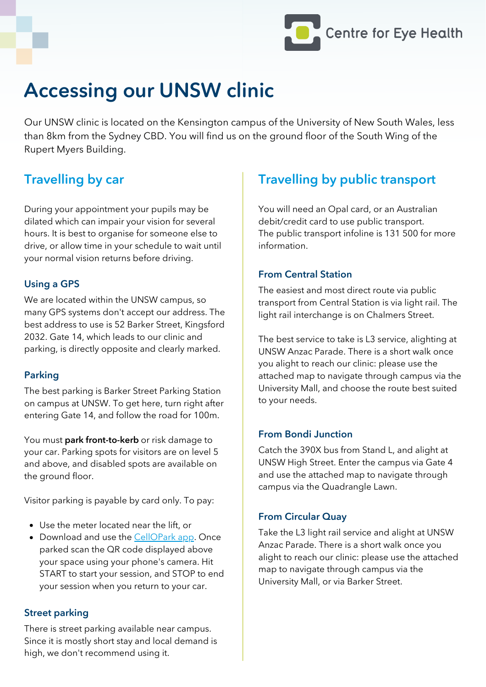

## Accessing our UNSW clinic

Our UNSW clinic is located on the Kensington campus of the University of New South Wales, less than 8km from the Sydney CBD. You will find us on the ground floor of the South Wing of the Rupert Myers Building.

## Travelling by car

During your appointment your pupils may be dilated which can impair your vision for several hours. It is best to organise for someone else to drive, or allow time in your schedule to wait until your normal vision returns before driving.

## Using a GPS

We are located within the UNSW campus, so many GPS systems don't accept our address. The best address to use is 52 Barker Street, Kingsford 2032. Gate 14, which leads to our clinic and parking, is directly opposite and clearly marked.

## Parking

The best parking is Barker Street Parking Station on campus at UNSW. To get here, turn right after entering Gate 14, and follow the road for 100m.

You must **park front-to-kerb** or risk damage to your car. Parking spots for visitors are on level 5 and above, and disabled spots are available on the ground floor.

Visitor parking is payable by card only. To pay:

- Use the meter located near the lift, or
- Download and use the [CellOPark](http://www.cellopark.com.au/) app. Once parked scan the QR code displayed above your space using your phone's camera. Hit START to start your session, and STOP to end your session when you return to your car.

#### Street parking

There is street parking available near campus. Since it is mostly short stay and local demand is high, we don't recommend using it.

## Travelling by public transport

You will need an Opal card, or an Australian debit/credit card to use public transport. The public transport infoline is 131 500 for more information.

### From Central Station

The easiest and most direct route via public transport from Central Station is via light rail. The light rail interchange is on Chalmers Street.

The best service to take is L3 service, alighting at UNSW Anzac Parade. There is a short walk once you alight to reach our clinic: please use the attached map to navigate through campus via the University Mall, and choose the route best suited to your needs.

#### From Bondi Junction

Catch the 390X bus from Stand L, and alight at UNSW High Street. Enter the campus via Gate 4 and use the attached map to navigate through campus via the Quadrangle Lawn.

## From Circular Quay

Take the L3 light rail service and alight at UNSW Anzac Parade. There is a short walk once you alight to reach our clinic: please use the attached map to navigate through campus via the University Mall, or via Barker Street.